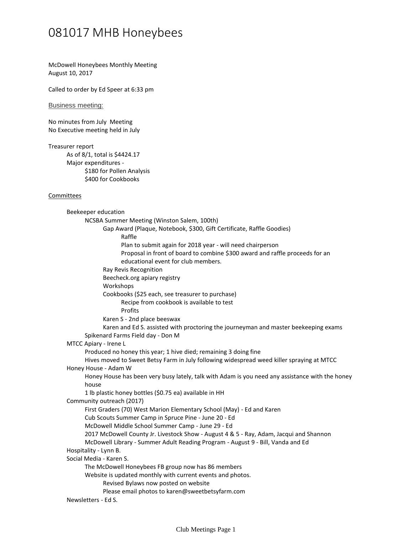## 081017 MHB Honeybees

McDowell Honeybees Monthly Meeting August 10, 2017

Called to order by Ed Speer at 6:33 pm

Business meeting:

No minutes from July Meeting No Executive meeting held in July

Treasurer report

As of 8/1, total is \$4424.17 \$180 for Pollen Analysis \$400 for Cookbooks Major expenditures -

## Committees

Raffle Plan to submit again for 2018 year - will need chairperson Proposal in front of board to combine \$300 award and raffle proceeds for an educational event for club members. Gap Award (Plaque, Notebook, \$300, Gift Certificate, Raffle Goodies) Ray Revis Recognition Beecheck.org apiary registry Workshops Recipe from cookbook is available to test Profits Cookbooks (\$25 each, see treasurer to purchase) Karen S - 2nd place beeswax Karen and Ed S. assisted with proctoring the journeyman and master beekeeping exams NCSBA Summer Meeting (Winston Salem, 100th) Spikenard Farms Field day - Don M Beekeeper education Produced no honey this year; 1 hive died; remaining 3 doing fine Hives moved to Sweet Betsy Farm in July following widespread weed killer spraying at MTCC MTCC Apiary - Irene L Honey House has been very busy lately, talk with Adam is you need any assistance with the honey house 1 lb plastic honey bottles (\$0.75 ea) available in HH Honey House - Adam W First Graders (70) West Marion Elementary School (May) - Ed and Karen Cub Scouts Summer Camp in Spruce Pine - June 20 - Ed McDowell Middle School Summer Camp - June 29 - Ed 2017 McDowell County Jr. Livestock Show - August 4 & 5 - Ray, Adam, Jacqui and Shannon McDowell Library - Summer Adult Reading Program - August 9 - Bill, Vanda and Ed Community outreach (2017) Hospitality - Lynn B. The McDowell Honeybees FB group now has 86 members Revised Bylaws now posted on website Please email photos to karen@sweetbetsyfarm.com Website is updated monthly with current events and photos. Social Media - Karen S. Newsletters - Ed S.